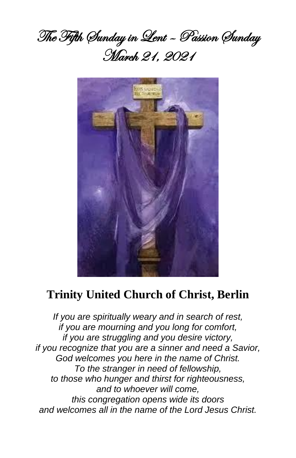



# **Trinity United Church of Christ, Berlin**

*If you are spiritually weary and in search of rest, if you are mourning and you long for comfort, if you are struggling and you desire victory, if you recognize that you are a sinner and need a Savior, God welcomes you here in the name of Christ. To the stranger in need of fellowship, to those who hunger and thirst for righteousness, and to whoever will come, this congregation opens wide its doors and welcomes all in the name of the Lord Jesus Christ.*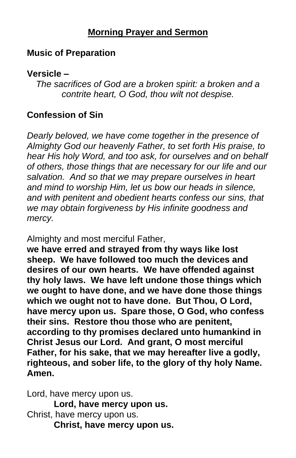# **Morning Prayer and Sermon**

# **Music of Preparation**

## **Versicle –**

*The sacrifices of God are a broken spirit: a broken and a contrite heart, O God, thou wilt not despise.*

# **Confession of Sin**

*Dearly beloved, we have come together in the presence of Almighty God our heavenly Father, to set forth His praise, to hear His holy Word, and too ask, for ourselves and on behalf of others, those things that are necessary for our life and our salvation. And so that we may prepare ourselves in heart and mind to worship Him, let us bow our heads in silence, and with penitent and obedient hearts confess our sins, that we may obtain forgiveness by His infinite goodness and mercy.*

Almighty and most merciful Father,

**we have erred and strayed from thy ways like lost sheep. We have followed too much the devices and desires of our own hearts. We have offended against thy holy laws. We have left undone those things which we ought to have done, and we have done those things which we ought not to have done. But Thou, O Lord, have mercy upon us. Spare those, O God, who confess their sins. Restore thou those who are penitent, according to thy promises declared unto humankind in Christ Jesus our Lord. And grant, O most merciful Father, for his sake, that we may hereafter live a godly, righteous, and sober life, to the glory of thy holy Name. Amen.**

Lord, have mercy upon us. **Lord, have mercy upon us.** Christ, have mercy upon us. **Christ, have mercy upon us.**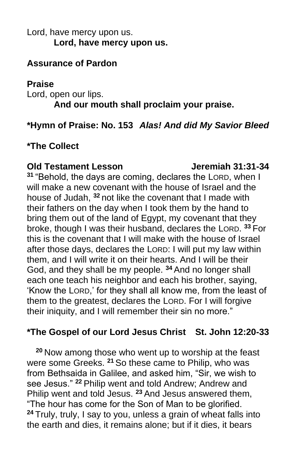# Lord, have mercy upon us. **Lord, have mercy upon us.**

## **Assurance of Pardon**

## **Praise**

Lord, open our lips. **And our mouth shall proclaim your praise.**

# **\*Hymn of Praise: No. 153** *Alas! And did My Savior Bleed*

# **\*The Collect**

#### **Old Testament Lesson Jeremiah 31:31-34**

**<sup>31</sup>** "Behold, the days are coming, declares the LORD, when I will make a new covenant with the house of Israel and the house of Judah, **<sup>32</sup>** not like the covenant that I made with their fathers on the day when I took them by the hand to bring them out of the land of Egypt, my covenant that they broke, though I was their husband, declares the LORD. **<sup>33</sup>** For this is the covenant that I will make with the house of Israel after those days, declares the LORD: I will put my law within them, and I will write it on their hearts. And I will be their God, and they shall be my people. **<sup>34</sup>** And no longer shall each one teach his neighbor and each his brother, saying, 'Know the LORD,' for they shall all know me, from the least of them to the greatest, declares the LORD. For I will forgive their iniquity, and I will remember their sin no more."

# **\*The Gospel of our Lord Jesus Christ St. John 12:20-33**

**<sup>20</sup>** Now among those who went up to worship at the feast were some Greeks. **<sup>21</sup>** So these came to Philip, who was from Bethsaida in Galilee, and asked him, "Sir, we wish to see Jesus." **<sup>22</sup>** Philip went and told Andrew; Andrew and Philip went and told Jesus. **<sup>23</sup>** And Jesus answered them, "The hour has come for the Son of Man to be glorified. **<sup>24</sup>** Truly, truly, I say to you, unless a grain of wheat falls into the earth and dies, it remains alone; but if it dies, it bears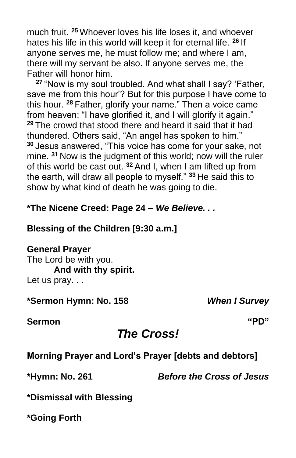much fruit. **<sup>25</sup>** Whoever loves his life loses it, and whoever hates his life in this world will keep it for eternal life. **<sup>26</sup>** If anyone serves me, he must follow me; and where I am, there will my servant be also. If anyone serves me, the Father will honor him.

**<sup>27</sup>** "Now is my soul troubled. And what shall I say? 'Father, save me from this hour'? But for this purpose I have come to this hour. **<sup>28</sup>** Father, glorify your name." Then a voice came from heaven: "I have glorified it, and I will glorify it again." **<sup>29</sup>** The crowd that stood there and heard it said that it had thundered. Others said, "An angel has spoken to him." **<sup>30</sup>** Jesus answered, "This voice has come for your sake, not mine. **<sup>31</sup>** Now is the judgment of this world; now will the ruler of this world be cast out. **<sup>32</sup>** And I, when I am lifted up from the earth, will draw all people to myself." **<sup>33</sup>** He said this to show by what kind of death he was going to die.

# **\*The Nicene Creed: Page 24 –** *We Believe. . .*

#### **Blessing of the Children [9:30 a.m.]**

#### **General Prayer**

The Lord be with you. **And with thy spirit.** Let us pray. . .

**\*Sermon Hymn: No. 158** *When I Survey*

**Sermon "PD"**

# *The Cross!*

**Morning Prayer and Lord's Prayer [debts and debtors]**

**\*Hymn: No. 261** *Before the Cross of Jesus*

**\*Dismissal with Blessing**

**\*Going Forth**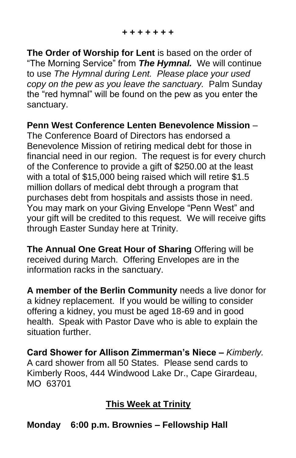**The Order of Worship for Lent** is based on the order of "The Morning Service" from *The Hymnal.* We will continue to use *The Hymnal during Lent. Please place your used copy on the pew as you leave the sanctuary.* Palm Sunday the "red hymnal" will be found on the pew as you enter the sanctuary.

**Penn West Conference Lenten Benevolence Mission** –

The Conference Board of Directors has endorsed a Benevolence Mission of retiring medical debt for those in financial need in our region. The request is for every church of the Conference to provide a gift of \$250.00 at the least with a total of \$15,000 being raised which will retire \$1.5 million dollars of medical debt through a program that purchases debt from hospitals and assists those in need. You may mark on your Giving Envelope "Penn West" and your gift will be credited to this request. We will receive gifts through Easter Sunday here at Trinity.

**The Annual One Great Hour of Sharing** Offering will be received during March. Offering Envelopes are in the information racks in the sanctuary.

**A member of the Berlin Community** needs a live donor for a kidney replacement. If you would be willing to consider offering a kidney, you must be aged 18-69 and in good health. Speak with Pastor Dave who is able to explain the situation further.

**Card Shower for Allison Zimmerman's Niece –** *Kimberly.* A card shower from all 50 States. Please send cards to Kimberly Roos, 444 Windwood Lake Dr., Cape Girardeau, MO 63701

# **This Week at Trinity**

**Monday 6:00 p.m. Brownies – Fellowship Hall**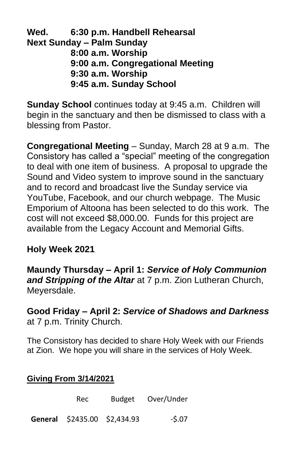**Wed. 6:30 p.m. Handbell Rehearsal Next Sunday – Palm Sunday 8:00 a.m. Worship 9:00 a.m. Congregational Meeting 9:30 a.m. Worship 9:45 a.m. Sunday School**

**Sunday School** continues today at 9:45 a.m. Children will begin in the sanctuary and then be dismissed to class with a blessing from Pastor.

**Congregational Meeting** – Sunday, March 28 at 9 a.m. The Consistory has called a "special" meeting of the congregation to deal with one item of business. A proposal to upgrade the Sound and Video system to improve sound in the sanctuary and to record and broadcast live the Sunday service via YouTube, Facebook, and our church webpage. The Music Emporium of Altoona has been selected to do this work. The cost will not exceed \$8,000.00. Funds for this project are available from the Legacy Account and Memorial Gifts.

# **Holy Week 2021**

**Maundy Thursday – April 1:** *Service of Holy Communion and Stripping of the Altar* at 7 p.m. Zion Lutheran Church, Meyersdale.

**Good Friday – April 2:** *Service of Shadows and Darkness* at 7 p.m. Trinity Church.

The Consistory has decided to share Holy Week with our Friends at Zion. We hope you will share in the services of Holy Week.

# **Giving From 3/14/2021**

| Rec.                         | Budget Over/Under |
|------------------------------|-------------------|
| General \$2435.00 \$2,434.93 | $-5.07$           |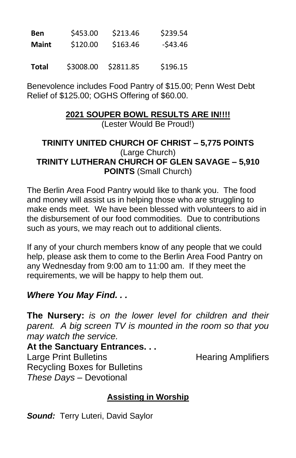| <b>Ben</b>   | \$453.00 | \$213.46 | \$239.54 |
|--------------|----------|----------|----------|
| <b>Maint</b> | \$120.00 | \$163.46 | -\$43.46 |
|              |          |          |          |

**Total** \$3008.00 \$2811.85 \$196.15

Benevolence includes Food Pantry of \$15.00; Penn West Debt Relief of \$125.00; OGHS Offering of \$60.00.

# **2021 SOUPER BOWL RESULTS ARE IN!!!!**

(Lester Would Be Proud!)

#### **TRINITY UNITED CHURCH OF CHRIST – 5,775 POINTS** (Large Church) **TRINITY LUTHERAN CHURCH OF GLEN SAVAGE – 5,910 POINTS** (Small Church)

The Berlin Area Food Pantry would like to thank you. The food and money will assist us in helping those who are struggling to make ends meet. We have been blessed with volunteers to aid in the disbursement of our food commodities. Due to contributions such as yours, we may reach out to additional clients.

If any of your church members know of any people that we could help, please ask them to come to the Berlin Area Food Pantry on any Wednesday from 9:00 am to 11:00 am. If they meet the requirements, we will be happy to help them out.

# *Where You May Find. . .*

**The Nursery:** *is on the lower level for children and their parent. A big screen TV is mounted in the room so that you may watch the service.*

**At the Sanctuary Entrances. . .** Large Print Bulletins **Example 20** Hearing Amplifiers Recycling Boxes for Bulletins *These Days –* Devotional

# **Assisting in Worship**

*Sound:* Terry Luteri, David Saylor